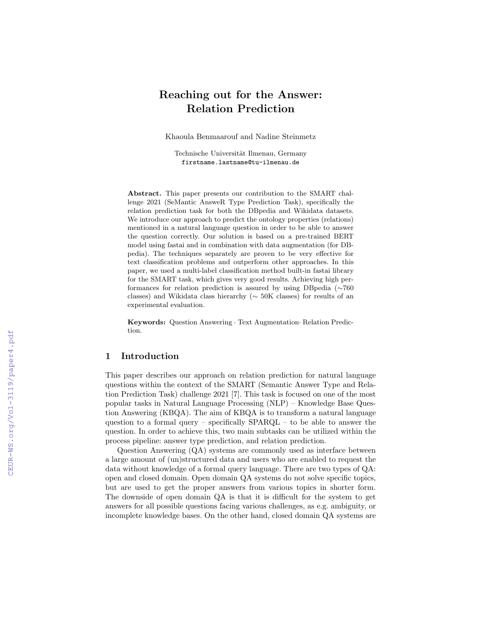# Reaching out for the Answer: Relation Prediction

Khaoula Benmaarouf and Nadine Steinmetz

Technische Universität Ilmenau, Germany firstname.lastname@tu-ilmenau.de

Abstract. This paper presents our contribution to the SMART challenge 2021 (SeMantic AnsweR Type Prediction Task), specifically the relation prediction task for both the DBpedia and Wikidata datasets. We introduce our approach to predict the ontology properties (relations) mentioned in a natural language question in order to be able to answer the question correctly. Our solution is based on a pre-trained BERT model using fastai and in combination with data augmentation (for DBpedia). The techniques separately are proven to be very effective for text classification problems and outperform other approaches. In this paper, we used a multi-label classification method built-in fastai library for the SMART task, which gives very good results. Achieving high performances for relation prediction is assured by using DBpedia (∼760 classes) and Wikidata class hierarchy (∼ 50K classes) for results of an experimental evaluation.

Keywords: Question Answering · Text Augmentation· Relation Prediction.

# 1 Introduction

This paper describes our approach on relation prediction for natural language questions within the context of the SMART (Semantic Answer Type and Relation Prediction Task) challenge 2021 [7]. This task is focused on one of the most popular tasks in Natural Language Processing (NLP) – Knowledge Base Question Answering (KBQA). The aim of KBQA is to transform a natural language question to a formal query – specifically  $SPARGL -$  to be able to answer the question. In order to achieve this, two main subtasks can be utilized within the process pipeline: answer type prediction, and relation prediction.

Question Answering (QA) systems are commonly used as interface between a large amount of (un)structured data and users who are enabled to request the data without knowledge of a formal query language. There are two types of QA: open and closed domain. Open domain QA systems do not solve specific topics, but are used to get the proper answers from various topics in shorter form. The downside of open domain QA is that it is difficult for the system to get answers for all possible questions facing various challenges, as e.g. ambiguity, or incomplete knowledge bases. On the other hand, closed domain QA systems are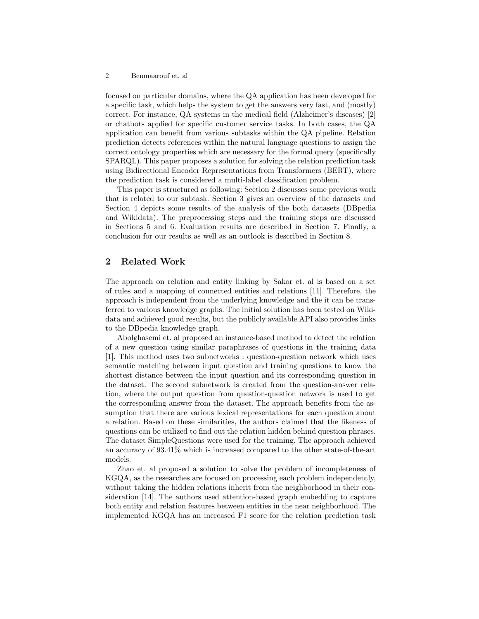#### 2 Benmaarouf et. al

focused on particular domains, where the QA application has been developed for a specific task, which helps the system to get the answers very fast, and (mostly) correct. For instance, QA systems in the medical field (Alzheimer's diseases) [2] or chatbots applied for specific customer service tasks. In both cases, the QA application can benefit from various subtasks within the QA pipeline. Relation prediction detects references within the natural language questions to assign the correct ontology properties which are necessary for the formal query (specifically SPARQL). This paper proposes a solution for solving the relation prediction task using Bidirectional Encoder Representations from Transformers (BERT), where the prediction task is considered a multi-label classification problem.

This paper is structured as following: Section 2 discusses some previous work that is related to our subtask. Section 3 gives an overview of the datasets and Section 4 depicts some results of the analysis of the both datasets (DBpedia and Wikidata). The preprocessing steps and the training steps are discussed in Sections 5 and 6. Evaluation results are described in Section 7. Finally, a conclusion for our results as well as an outlook is described in Section 8.

## 2 Related Work

The approach on relation and entity linking by Sakor et. al is based on a set of rules and a mapping of connected entities and relations [11]. Therefore, the approach is independent from the underlying knowledge and the it can be transferred to various knowledge graphs. The initial solution has been tested on Wikidata and achieved good results, but the publicly available API also provides links to the DBpedia knowledge graph.

Abolghasemi et. al proposed an instance-based method to detect the relation of a new question using similar paraphrases of questions in the training data [1]. This method uses two subnetworks : question-question network which uses semantic matching between input question and training questions to know the shortest distance between the input question and its corresponding question in the dataset. The second subnetwork is created from the question-answer relation, where the output question from question-question network is used to get the corresponding answer from the dataset. The approach benefits from the assumption that there are various lexical representations for each question about a relation. Based on these similarities, the authors claimed that the likeness of questions can be utilized to find out the relation hidden behind question phrases. The dataset SimpleQuestions were used for the training. The approach achieved an accuracy of 93.41% which is increased compared to the other state-of-the-art models.

Zhao et. al proposed a solution to solve the problem of incompleteness of KGQA, as the researches are focused on processing each problem independently, without taking the hidden relations inherit from the neighborhood in their consideration [14]. The authors used attention-based graph embedding to capture both entity and relation features between entities in the near neighborhood. The implemented KGQA has an increased F1 score for the relation prediction task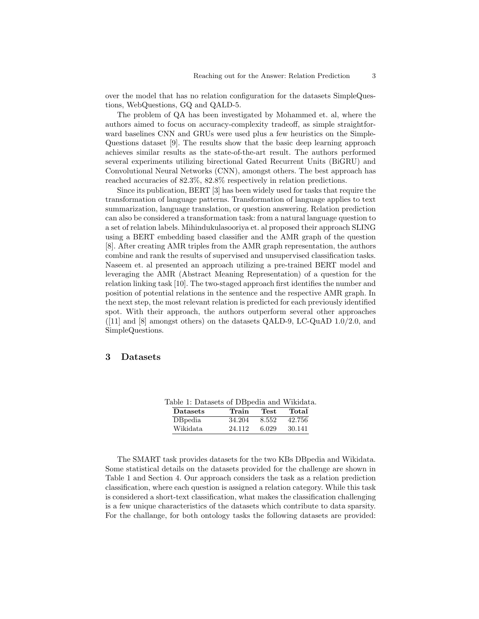over the model that has no relation configuration for the datasets SimpleQuestions, WebQuestions, GQ and QALD-5.

The problem of QA has been investigated by Mohammed et. al, where the authors aimed to focus on accuracy-complexity tradeoff, as simple straightforward baselines CNN and GRUs were used plus a few heuristics on the Simple-Questions dataset [9]. The results show that the basic deep learning approach achieves similar results as the state-of-the-art result. The authors performed several experiments utilizing birectional Gated Recurrent Units (BiGRU) and Convolutional Neural Networks (CNN), amongst others. The best approach has reached accuracies of 82.3%, 82.8% respectively in relation predictions.

Since its publication, BERT [3] has been widely used for tasks that require the transformation of language patterns. Transformation of language applies to text summarization, language translation, or question answering. Relation prediction can also be considered a transformation task: from a natural language question to a set of relation labels. Mihindukulasooriya et. al proposed their approach SLING using a BERT embedding based classifier and the AMR graph of the question [8]. After creating AMR triples from the AMR graph representation, the authors combine and rank the results of supervised and unsupervised classification tasks. Naseem et. al presented an approach utilizing a pre-trained BERT model and leveraging the AMR (Abstract Meaning Representation) of a question for the relation linking task [10]. The two-staged approach first identifies the number and position of potential relations in the sentence and the respective AMR graph. In the next step, the most relevant relation is predicted for each previously identified spot. With their approach, the authors outperform several other approaches  $([11]$  and  $[8]$  amongst others) on the datasets QALD-9, LC-QuAD 1.0/2.0, and SimpleQuestions.

## 3 Datasets

| able 1: Datasets of DBpedia and Wikidata |        |       |        |
|------------------------------------------|--------|-------|--------|
| <b>Datasets</b>                          | Train  | Test  | Total  |
| DBpedia                                  | 34.204 | 8.552 | 42.756 |
| Wikidata                                 | 24.112 | 6.029 | 30.141 |

 $Table 1: D<sub>0</sub>$ 

The SMART task provides datasets for the two KBs DBpedia and Wikidata. Some statistical details on the datasets provided for the challenge are shown in Table 1 and Section 4. Our approach considers the task as a relation prediction classification, where each question is assigned a relation category. While this task is considered a short-text classification, what makes the classification challenging is a few unique characteristics of the datasets which contribute to data sparsity. For the challange, for both ontology tasks the following datasets are provided: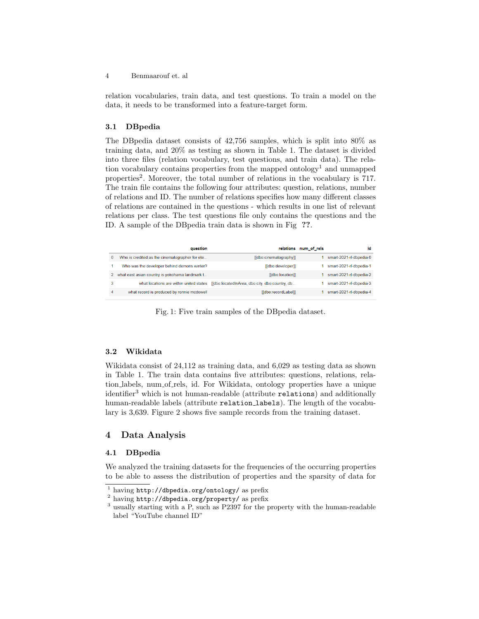relation vocabularies, train data, and test questions. To train a model on the data, it needs to be transformed into a feature-target form.

## 3.1 DBpedia

The DBpedia dataset consists of 42,756 samples, which is split into 80% as training data, and 20% as testing as shown in Table 1. The dataset is divided into three files (relation vocabulary, test questions, and train data). The relation vocabulary contains properties from the mapped ontology<sup>1</sup> and unmapped properties<sup>2</sup>. Moreover, the total number of relations in the vocabulary is 717. The train file contains the following four attributes: question, relations, number of relations and ID. The number of relations specifies how many different classes of relations are contained in the questions - which results in one list of relevant relations per class. The test questions file only contains the questions and the ID. A sample of the DBpedia train data is shown in Fig ??.

|   | auestion                                       |                                                                                        | relations num of rels | id                      |
|---|------------------------------------------------|----------------------------------------------------------------------------------------|-----------------------|-------------------------|
| 0 | Who is credited as the cinematographer for ete | [dbo:cinematography]]                                                                  |                       | smart-2021-rl-dbpedia-0 |
|   | Who was the developer behind demons winter?    | [[dbo:developer]]                                                                      |                       | smart-2021-rl-dbpedia-1 |
| 2 | what east asian country is yokohama landmark t | [[dbo:location]]                                                                       |                       | smart-2021-rl-dbpedia-2 |
| 3 |                                                | what locations are within united states [[dbo:locatedInArea, dbo:city, dbo:country, db |                       | smart-2021-rl-dbpedia-3 |
| 4 | what record is produced by ronnie mcdowell     | [[dbo:recordLabel]]                                                                    |                       | smart-2021-rl-dbpedia-4 |

Fig. 1: Five train samples of the DBpedia dataset.

## 3.2 Wikidata

Wikidata consist of 24,112 as training data, and 6,029 as testing data as shown in Table 1. The train data contains five attributes: questions, relations, relation labels, num of rels, id. For Wikidata, ontology properties have a unique identifier<sup>3</sup> which is not human-readable (attribute relations) and additionally human-readable labels (attribute relation labels). The length of the vocabulary is 3,639. Figure 2 shows five sample records from the training dataset.

## 4 Data Analysis

## 4.1 DBpedia

We analyzed the training datasets for the frequencies of the occurring properties to be able to assess the distribution of properties and the sparsity of data for

 $1$  having http://dbpedia.org/ontology/ as prefix

<sup>2</sup> having http://dbpedia.org/property/ as prefix

<sup>&</sup>lt;sup>3</sup> usually starting with a P, such as P2397 for the property with the human-readable label "YouTube channel ID"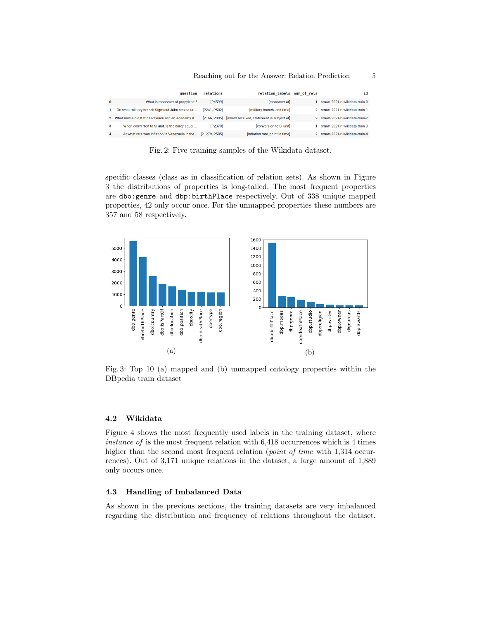|          | question                                       | relations     | relation labels num of rels                            | id                               |
|----------|------------------------------------------------|---------------|--------------------------------------------------------|----------------------------------|
| $\bf{0}$ | What is monomer of propylene?                  | [P4599]       | Imonomer of                                            | smart-2021-rl-wikidata-train-0   |
|          | On what military branch Sigmund Jähn served un | [P241, P582]  | [military branch, end time]                            | smart-2021-rl-wikidata-train-1   |
| 2        | What movie did Katina Paxinou win an Academy A |               | [P166, P805] [award received, statement is subject of] | 2 smart-2021-rl-wikidata-train-2 |
| з        | When converted to SI unit, is the darcy equal  | [P2370]       | [conversion to SI unit]                                | smart-2021-rl-wikidata-train-3   |
| 4        | At what rate was inflation in Venezuela in the | [P1279, P585] | [inflation rate, point in time]                        | 2 smart-2021-rl-wikidata-train-4 |

Fig. 2: Five training samples of the Wikidata dataset.

specific classes (class as in classification of relation sets). As shown in Figure 3 the distributions of properties is long-tailed. The most frequent properties are dbo:genre and dbp:birthPlace respectively. Out of 338 unique mapped properties, 42 only occur once. For the unmapped properties these numbers are 357 and 58 respectively.



Fig. 3: Top 10 (a) mapped and (b) unmapped ontology properties within the DBpedia train dataset

#### 4.2 Wikidata

Figure 4 shows the most frequently used labels in the training dataset, where instance of is the most frequent relation with 6,418 occurrences which is 4 times higher than the second most frequent relation (*point of time* with 1,314 occurrences). Out of 3,171 unique relations in the dataset, a large amount of 1,889 only occurs once.

### 4.3 Handling of Imbalanced Data

As shown in the previous sections, the training datasets are very imbalanced regarding the distribution and frequency of relations throughout the dataset.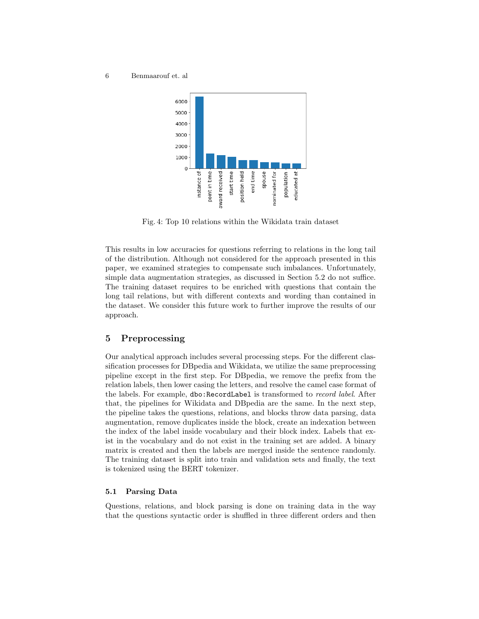

Fig. 4: Top 10 relations within the Wikidata train dataset

This results in low accuracies for questions referring to relations in the long tail of the distribution. Although not considered for the approach presented in this paper, we examined strategies to compensate such imbalances. Unfortunately, simple data augmentation strategies, as discussed in Section 5.2 do not suffice. The training dataset requires to be enriched with questions that contain the long tail relations, but with different contexts and wording than contained in the dataset. We consider this future work to further improve the results of our approach.

## 5 Preprocessing

Our analytical approach includes several processing steps. For the different classification processes for DBpedia and Wikidata, we utilize the same preprocessing pipeline except in the first step. For DBpedia, we remove the prefix from the relation labels, then lower casing the letters, and resolve the camel case format of the labels. For example, dbo:RecordLabel is transformed to record label. After that, the pipelines for Wikidata and DBpedia are the same. In the next step, the pipeline takes the questions, relations, and blocks throw data parsing, data augmentation, remove duplicates inside the block, create an indexation between the index of the label inside vocabulary and their block index. Labels that exist in the vocabulary and do not exist in the training set are added. A binary matrix is created and then the labels are merged inside the sentence randomly. The training dataset is split into train and validation sets and finally, the text is tokenized using the BERT tokenizer.

### 5.1 Parsing Data

Questions, relations, and block parsing is done on training data in the way that the questions syntactic order is shuffled in three different orders and then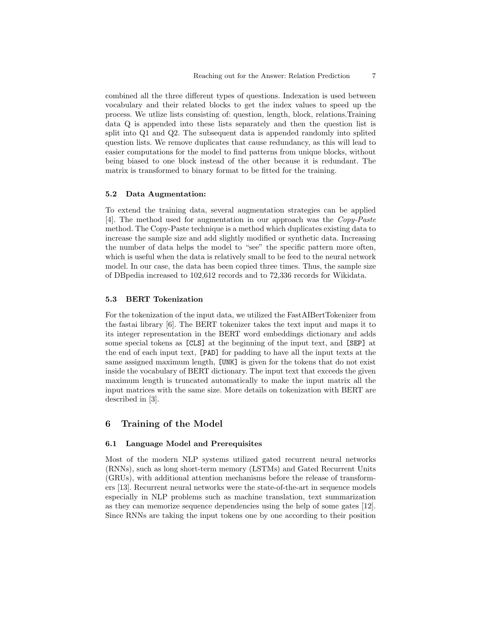combined all the three different types of questions. Indexation is used between vocabulary and their related blocks to get the index values to speed up the process. We utlize lists consisting of: question, length, block, relations.Training data Q is appended into these lists separately and then the question list is split into Q1 and Q2. The subsequent data is appended randomly into splited question lists. We remove duplicates that cause redundancy, as this will lead to easier computations for the model to find patterns from unique blocks, without being biased to one block instead of the other because it is redundant. The matrix is transformed to binary format to be fitted for the training.

#### 5.2 Data Augmentation:

To extend the training data, several augmentation strategies can be applied [4]. The method used for augmentation in our approach was the Copy-Paste method. The Copy-Paste technique is a method which duplicates existing data to increase the sample size and add slightly modified or synthetic data. Increasing the number of data helps the model to "see" the specific pattern more often, which is useful when the data is relatively small to be feed to the neural network model. In our case, the data has been copied three times. Thus, the sample size of DBpedia increased to 102,612 records and to 72,336 records for Wikidata.

### 5.3 BERT Tokenization

For the tokenization of the input data, we utilized the FastAIBertTokenizer from the fastai library [6]. The BERT tokenizer takes the text input and maps it to its integer representation in the BERT word embeddings dictionary and adds some special tokens as [CLS] at the beginning of the input text, and [SEP] at the end of each input text, [PAD] for padding to have all the input texts at the same assigned maximum length, [UNK] is given for the tokens that do not exist inside the vocabulary of BERT dictionary. The input text that exceeds the given maximum length is truncated automatically to make the input matrix all the input matrices with the same size. More details on tokenization with BERT are described in [3].

# 6 Training of the Model

### 6.1 Language Model and Prerequisites

Most of the modern NLP systems utilized gated recurrent neural networks (RNNs), such as long short-term memory (LSTMs) and Gated Recurrent Units (GRUs), with additional attention mechanisms before the release of transformers [13]. Recurrent neural networks were the state-of-the-art in sequence models especially in NLP problems such as machine translation, text summarization as they can memorize sequence dependencies using the help of some gates [12]. Since RNNs are taking the input tokens one by one according to their position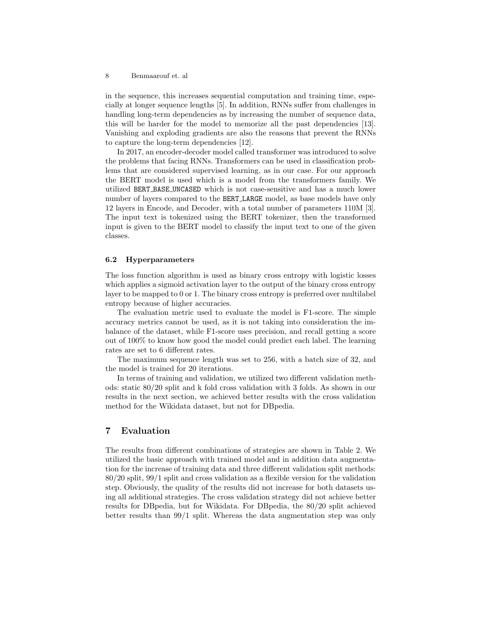in the sequence, this increases sequential computation and training time, especially at longer sequence lengths [5]. In addition, RNNs suffer from challenges in handling long-term dependencies as by increasing the number of sequence data, this will be harder for the model to memorize all the past dependencies [13]. Vanishing and exploding gradients are also the reasons that prevent the RNNs to capture the long-term dependencies [12].

In 2017, an encoder-decoder model called transformer was introduced to solve the problems that facing RNNs. Transformers can be used in classification problems that are considered supervised learning, as in our case. For our approach the BERT model is used which is a model from the transformers family. We utilized BERT BASE UNCASED which is not case-sensitive and has a much lower number of layers compared to the BERT LARGE model, as base models have only 12 layers in Encode, and Decoder, with a total number of parameters 110M [3]. The input text is tokenized using the BERT tokenizer, then the transformed input is given to the BERT model to classify the input text to one of the given classes.

#### 6.2 Hyperparameters

The loss function algorithm is used as binary cross entropy with logistic losses which applies a sigmoid activation layer to the output of the binary cross entropy layer to be mapped to 0 or 1. The binary cross entropy is preferred over multilabel entropy because of higher accuracies.

The evaluation metric used to evaluate the model is F1-score. The simple accuracy metrics cannot be used, as it is not taking into consideration the imbalance of the dataset, while F1-score uses precision, and recall getting a score out of 100% to know how good the model could predict each label. The learning rates are set to 6 different rates.

The maximum sequence length was set to 256, with a batch size of 32, and the model is trained for 20 iterations.

In terms of training and validation, we utilized two different validation methods: static 80/20 split and k fold cross validation with 3 folds. As shown in our results in the next section, we achieved better results with the cross validation method for the Wikidata dataset, but not for DBpedia.

## 7 Evaluation

The results from different combinations of strategies are shown in Table 2. We utilized the basic approach with trained model and in addition data augmentation for the increase of training data and three different validation split methods: 80/20 split, 99/1 split and cross validation as a flexible version for the validation step. Obviously, the quality of the results did not increase for both datasets using all additional strategies. The cross validation strategy did not achieve better results for DBpedia, but for Wikidata. For DBpedia, the 80/20 split achieved better results than 99/1 split. Whereas the data augmentation step was only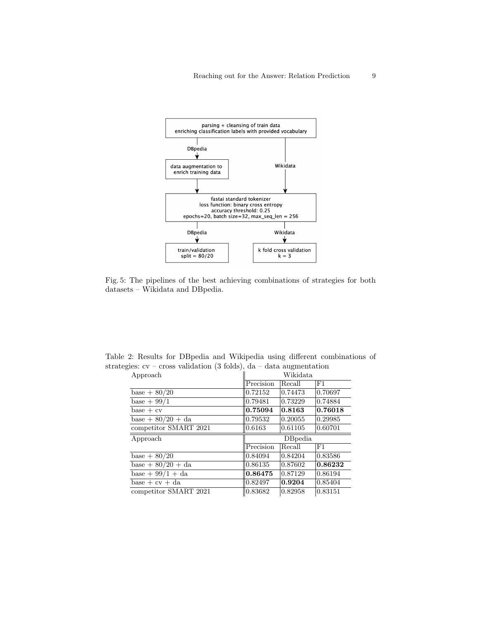

Fig. 5: The pipelines of the best achieving combinations of strategies for both datasets – Wikidata and DBpedia.

Table 2: Results for DBpedia and Wikipedia using different combinations of strategies:  $cv - cross$  validation (3 folds), da – data augmentation

| Approach              | Wikidata  |         |             |
|-----------------------|-----------|---------|-------------|
|                       | Precision | Recall  | F1          |
| $base + 80/20$        | 0.72152   | 0.74473 | 0.70697     |
| base $+99/1$          | 0.79481   | 0.73229 | 0.74884     |
| $base + cv$           | 0.75094   | 0.8163  | 0.76018     |
| base + $80/20$ + da   | 0.79532   | 0.20055 | 0.29985     |
| competitor SMART 2021 | 0.6163    | 0.61105 | 0.60701     |
|                       |           |         |             |
| Approach              |           | DBpedia |             |
|                       | Precision | Recall  | $_{\rm F1}$ |
| base $+80/20$         | 0.84094   | 0.84204 | 0.83586     |
| base $+80/20 + da$    | 0.86135   | 0.87602 | 0.86232     |
| base + $99/1$ + da    | 0.86475   | 0.87129 | 0.86194     |
| $base + cv + da$      | 0.82497   | 0.9204  | 0.85404     |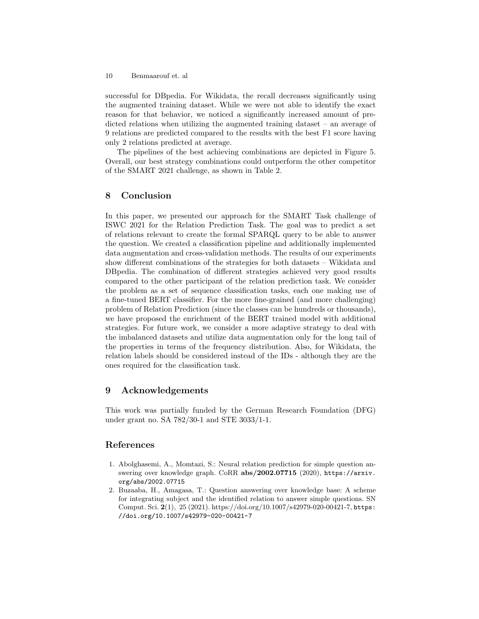10 Benmaarouf et. al

successful for DBpedia. For Wikidata, the recall decreases significantly using the augmented training dataset. While we were not able to identify the exact reason for that behavior, we noticed a significantly increased amount of predicted relations when utilizing the augmented training dataset – an average of 9 relations are predicted compared to the results with the best F1 score having only 2 relations predicted at average.

The pipelines of the best achieving combinations are depicted in Figure 5. Overall, our best strategy combinations could outperform the other competitor of the SMART 2021 challenge, as shown in Table 2.

## 8 Conclusion

In this paper, we presented our approach for the SMART Task challenge of ISWC 2021 for the Relation Prediction Task. The goal was to predict a set of relations relevant to create the formal SPARQL query to be able to answer the question. We created a classification pipeline and additionally implemented data augmentation and cross-validation methods. The results of our experiments show different combinations of the strategies for both datasets – Wikidata and DBpedia. The combination of different strategies achieved very good results compared to the other participant of the relation prediction task. We consider the problem as a set of sequence classification tasks, each one making use of a fine-tuned BERT classifier. For the more fine-grained (and more challenging) problem of Relation Prediction (since the classes can be hundreds or thousands), we have proposed the enrichment of the BERT trained model with additional strategies. For future work, we consider a more adaptive strategy to deal with the imbalanced datasets and utilize data augmentation only for the long tail of the properties in terms of the frequency distribution. Also, for Wikidata, the relation labels should be considered instead of the IDs - although they are the ones required for the classification task.

## 9 Acknowledgements

This work was partially funded by the German Research Foundation (DFG) under grant no. SA 782/30-1 and STE 3033/1-1.

# References

- 1. Abolghasemi, A., Momtazi, S.: Neural relation prediction for simple question answering over knowledge graph. CoRR abs/2002.07715 (2020), https://arxiv. org/abs/2002.07715
- 2. Buzaaba, H., Amagasa, T.: Question answering over knowledge base: A scheme for integrating subject and the identified relation to answer simple questions. SN Comput. Sci. 2(1), 25 (2021). https://doi.org/10.1007/s42979-020-00421-7, https: //doi.org/10.1007/s42979-020-00421-7